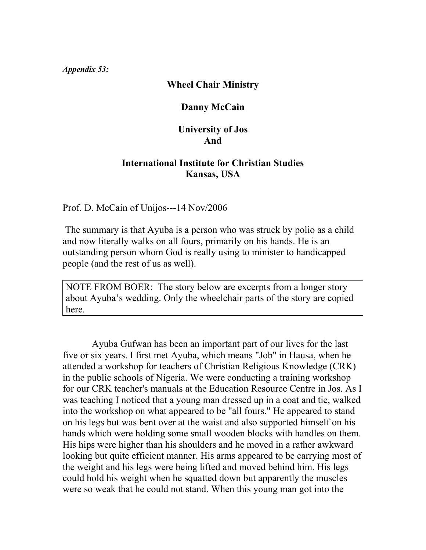#### *Appendix 53:*

### **Wheel Chair Ministry**

# **Danny McCain**

### **University of Jos And**

### **International Institute for Christian Studies Kansas, USA**

Prof. D. McCain of Unijos---14 Nov/2006

 The summary is that Ayuba is a person who was struck by polio as a child and now literally walks on all fours, primarily on his hands. He is an outstanding person whom God is really using to minister to handicapped people (and the rest of us as well).

NOTE FROM BOER: The story below are excerpts from a longer story about Ayuba's wedding. Only the wheelchair parts of the story are copied here.

 Ayuba Gufwan has been an important part of our lives for the last five or six years. I first met Ayuba, which means "Job" in Hausa, when he attended a workshop for teachers of Christian Religious Knowledge (CRK) in the public schools of Nigeria. We were conducting a training workshop for our CRK teacher's manuals at the Education Resource Centre in Jos. As I was teaching I noticed that a young man dressed up in a coat and tie, walked into the workshop on what appeared to be "all fours." He appeared to stand on his legs but was bent over at the waist and also supported himself on his hands which were holding some small wooden blocks with handles on them. His hips were higher than his shoulders and he moved in a rather awkward looking but quite efficient manner. His arms appeared to be carrying most of the weight and his legs were being lifted and moved behind him. His legs could hold his weight when he squatted down but apparently the muscles were so weak that he could not stand. When this young man got into the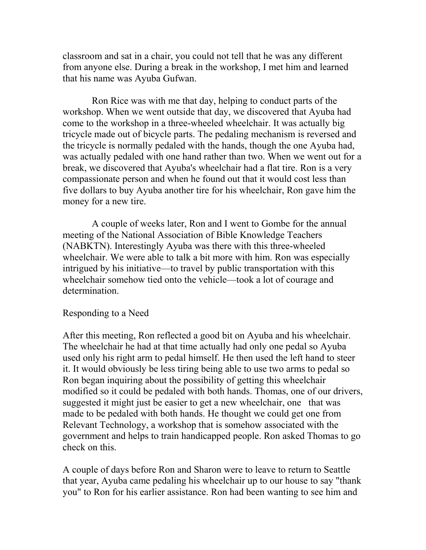classroom and sat in a chair, you could not tell that he was any different from anyone else. During a break in the workshop, I met him and learned that his name was Ayuba Gufwan.

 Ron Rice was with me that day, helping to conduct parts of the workshop. When we went outside that day, we discovered that Ayuba had come to the workshop in a three-wheeled wheelchair. It was actually big tricycle made out of bicycle parts. The pedaling mechanism is reversed and the tricycle is normally pedaled with the hands, though the one Ayuba had, was actually pedaled with one hand rather than two. When we went out for a break, we discovered that Ayuba's wheelchair had a flat tire. Ron is a very compassionate person and when he found out that it would cost less than five dollars to buy Ayuba another tire for his wheelchair, Ron gave him the money for a new tire.

 A couple of weeks later, Ron and I went to Gombe for the annual meeting of the National Association of Bible Knowledge Teachers (NABKTN). Interestingly Ayuba was there with this three-wheeled wheelchair. We were able to talk a bit more with him. Ron was especially intrigued by his initiative—to travel by public transportation with this wheelchair somehow tied onto the vehicle—took a lot of courage and determination.

#### Responding to a Need

After this meeting, Ron reflected a good bit on Ayuba and his wheelchair. The wheelchair he had at that time actually had only one pedal so Ayuba used only his right arm to pedal himself. He then used the left hand to steer it. It would obviously be less tiring being able to use two arms to pedal so Ron began inquiring about the possibility of getting this wheelchair modified so it could be pedaled with both hands. Thomas, one of our drivers, suggested it might just be easier to get a new wheelchair, one that was made to be pedaled with both hands. He thought we could get one from Relevant Technology, a workshop that is somehow associated with the government and helps to train handicapped people. Ron asked Thomas to go check on this.

A couple of days before Ron and Sharon were to leave to return to Seattle that year, Ayuba came pedaling his wheelchair up to our house to say "thank you" to Ron for his earlier assistance. Ron had been wanting to see him and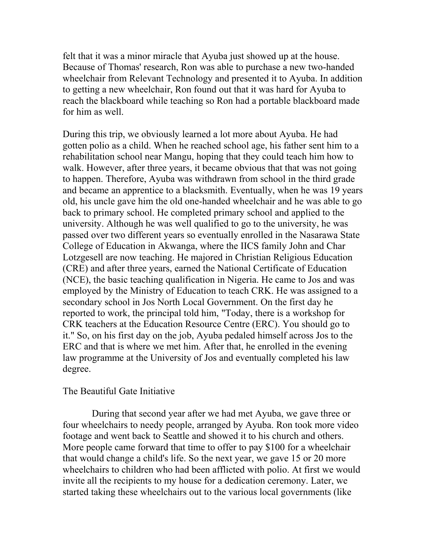felt that it was a minor miracle that Ayuba just showed up at the house. Because of Thomas' research, Ron was able to purchase a new two-handed wheelchair from Relevant Technology and presented it to Ayuba. In addition to getting a new wheelchair, Ron found out that it was hard for Ayuba to reach the blackboard while teaching so Ron had a portable blackboard made for him as well.

During this trip, we obviously learned a lot more about Ayuba. He had gotten polio as a child. When he reached school age, his father sent him to a rehabilitation school near Mangu, hoping that they could teach him how to walk. However, after three years, it became obvious that that was not going to happen. Therefore, Ayuba was withdrawn from school in the third grade and became an apprentice to a blacksmith. Eventually, when he was 19 years old, his uncle gave him the old one-handed wheelchair and he was able to go back to primary school. He completed primary school and applied to the university. Although he was well qualified to go to the university, he was passed over two different years so eventually enrolled in the Nasarawa State College of Education in Akwanga, where the IICS family John and Char Lotzgesell are now teaching. He majored in Christian Religious Education (CRE) and after three years, earned the National Certificate of Education (NCE), the basic teaching qualification in Nigeria. He came to Jos and was employed by the Ministry of Education to teach CRK. He was assigned to a secondary school in Jos North Local Government. On the first day he reported to work, the principal told him, "Today, there is a workshop for CRK teachers at the Education Resource Centre (ERC). You should go to it." So, on his first day on the job, Ayuba pedaled himself across Jos to the ERC and that is where we met him. After that, he enrolled in the evening law programme at the University of Jos and eventually completed his law degree.

#### The Beautiful Gate Initiative

 During that second year after we had met Ayuba, we gave three or four wheelchairs to needy people, arranged by Ayuba. Ron took more video footage and went back to Seattle and showed it to his church and others. More people came forward that time to offer to pay \$100 for a wheelchair that would change a child's life. So the next year, we gave 15 or 20 more wheelchairs to children who had been afflicted with polio. At first we would invite all the recipients to my house for a dedication ceremony. Later, we started taking these wheelchairs out to the various local governments (like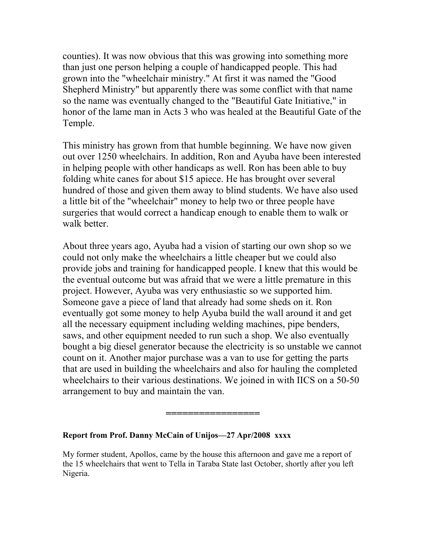counties). It was now obvious that this was growing into something more than just one person helping a couple of handicapped people. This had grown into the "wheelchair ministry." At first it was named the "Good Shepherd Ministry" but apparently there was some conflict with that name so the name was eventually changed to the "Beautiful Gate Initiative," in honor of the lame man in Acts 3 who was healed at the Beautiful Gate of the Temple.

This ministry has grown from that humble beginning. We have now given out over 1250 wheelchairs. In addition, Ron and Ayuba have been interested in helping people with other handicaps as well. Ron has been able to buy folding white canes for about \$15 apiece. He has brought over several hundred of those and given them away to blind students. We have also used a little bit of the "wheelchair" money to help two or three people have surgeries that would correct a handicap enough to enable them to walk or walk better.

About three years ago, Ayuba had a vision of starting our own shop so we could not only make the wheelchairs a little cheaper but we could also provide jobs and training for handicapped people. I knew that this would be the eventual outcome but was afraid that we were a little premature in this project. However, Ayuba was very enthusiastic so we supported him. Someone gave a piece of land that already had some sheds on it. Ron eventually got some money to help Ayuba build the wall around it and get all the necessary equipment including welding machines, pipe benders, saws, and other equipment needed to run such a shop. We also eventually bought a big diesel generator because the electricity is so unstable we cannot count on it. Another major purchase was a van to use for getting the parts that are used in building the wheelchairs and also for hauling the completed wheelchairs to their various destinations. We joined in with IICS on a 50-50 arrangement to buy and maintain the van.

#### **Report from Prof. Danny McCain of Unijos—27 Apr/2008 xxxx**

My former student, Apollos, came by the house this afternoon and gave me a report of the 15 wheelchairs that went to Tella in Taraba State last October, shortly after you left Nigeria.

**=================**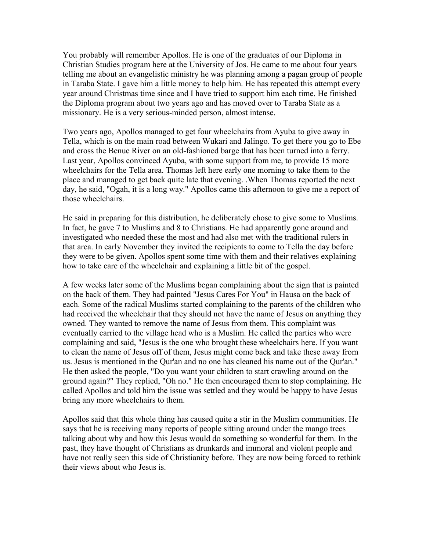You probably will remember Apollos. He is one of the graduates of our Diploma in Christian Studies program here at the University of Jos. He came to me about four years telling me about an evangelistic ministry he was planning among a pagan group of people in Taraba State. I gave him a little money to help him. He has repeated this attempt every year around Christmas time since and I have tried to support him each time. He finished the Diploma program about two years ago and has moved over to Taraba State as a missionary. He is a very serious-minded person, almost intense.

Two years ago, Apollos managed to get four wheelchairs from Ayuba to give away in Tella, which is on the main road between Wukari and Jalingo. To get there you go to Ebe and cross the Benue River on an old-fashioned barge that has been turned into a ferry. Last year, Apollos convinced Ayuba, with some support from me, to provide 15 more wheelchairs for the Tella area. Thomas left here early one morning to take them to the place and managed to get back quite late that evening. .When Thomas reported the next day, he said, "Ogah, it is a long way." Apollos came this afternoon to give me a report of those wheelchairs.

He said in preparing for this distribution, he deliberately chose to give some to Muslims. In fact, he gave 7 to Muslims and 8 to Christians. He had apparently gone around and investigated who needed these the most and had also met with the traditional rulers in that area. In early November they invited the recipients to come to Tella the day before they were to be given. Apollos spent some time with them and their relatives explaining how to take care of the wheelchair and explaining a little bit of the gospel.

A few weeks later some of the Muslims began complaining about the sign that is painted on the back of them. They had painted "Jesus Cares For You" in Hausa on the back of each. Some of the radical Muslims started complaining to the parents of the children who had received the wheelchair that they should not have the name of Jesus on anything they owned. They wanted to remove the name of Jesus from them. This complaint was eventually carried to the village head who is a Muslim. He called the parties who were complaining and said, "Jesus is the one who brought these wheelchairs here. If you want to clean the name of Jesus off of them, Jesus might come back and take these away from us. Jesus is mentioned in the Qur'an and no one has cleaned his name out of the Qur'an." He then asked the people, "Do you want your children to start crawling around on the ground again?" They replied, "Oh no." He then encouraged them to stop complaining. He called Apollos and told him the issue was settled and they would be happy to have Jesus bring any more wheelchairs to them.

Apollos said that this whole thing has caused quite a stir in the Muslim communities. He says that he is receiving many reports of people sitting around under the mango trees talking about why and how this Jesus would do something so wonderful for them. In the past, they have thought of Christians as drunkards and immoral and violent people and have not really seen this side of Christianity before. They are now being forced to rethink their views about who Jesus is.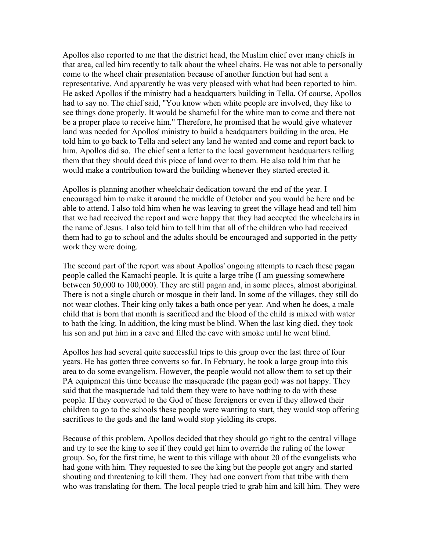Apollos also reported to me that the district head, the Muslim chief over many chiefs in that area, called him recently to talk about the wheel chairs. He was not able to personally come to the wheel chair presentation because of another function but had sent a representative. And apparently he was very pleased with what had been reported to him. He asked Apollos if the ministry had a headquarters building in Tella. Of course, Apollos had to say no. The chief said, "You know when white people are involved, they like to see things done properly. It would be shameful for the white man to come and there not be a proper place to receive him." Therefore, he promised that he would give whatever land was needed for Apollos' ministry to build a headquarters building in the area. He told him to go back to Tella and select any land he wanted and come and report back to him. Apollos did so. The chief sent a letter to the local government headquarters telling them that they should deed this piece of land over to them. He also told him that he would make a contribution toward the building whenever they started erected it.

Apollos is planning another wheelchair dedication toward the end of the year. I encouraged him to make it around the middle of October and you would be here and be able to attend. I also told him when he was leaving to greet the village head and tell him that we had received the report and were happy that they had accepted the wheelchairs in the name of Jesus. I also told him to tell him that all of the children who had received them had to go to school and the adults should be encouraged and supported in the petty work they were doing.

The second part of the report was about Apollos' ongoing attempts to reach these pagan people called the Kamachi people. It is quite a large tribe (I am guessing somewhere between 50,000 to 100,000). They are still pagan and, in some places, almost aboriginal. There is not a single church or mosque in their land. In some of the villages, they still do not wear clothes. Their king only takes a bath once per year. And when he does, a male child that is born that month is sacrificed and the blood of the child is mixed with water to bath the king. In addition, the king must be blind. When the last king died, they took his son and put him in a cave and filled the cave with smoke until he went blind.

Apollos has had several quite successful trips to this group over the last three of four years. He has gotten three converts so far. In February, he took a large group into this area to do some evangelism. However, the people would not allow them to set up their PA equipment this time because the masquerade (the pagan god) was not happy. They said that the masquerade had told them they were to have nothing to do with these people. If they converted to the God of these foreigners or even if they allowed their children to go to the schools these people were wanting to start, they would stop offering sacrifices to the gods and the land would stop yielding its crops.

Because of this problem, Apollos decided that they should go right to the central village and try to see the king to see if they could get him to override the ruling of the lower group. So, for the first time, he went to this village with about 20 of the evangelists who had gone with him. They requested to see the king but the people got angry and started shouting and threatening to kill them. They had one convert from that tribe with them who was translating for them. The local people tried to grab him and kill him. They were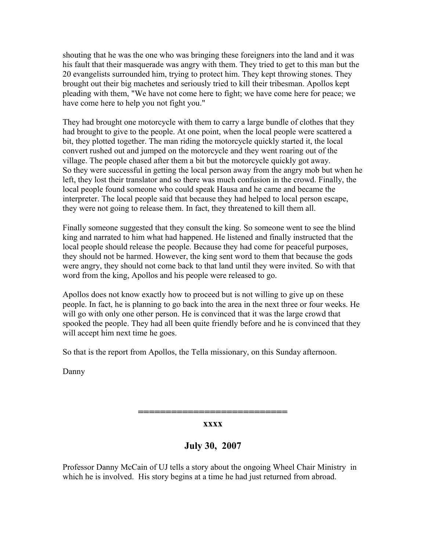shouting that he was the one who was bringing these foreigners into the land and it was his fault that their masquerade was angry with them. They tried to get to this man but the 20 evangelists surrounded him, trying to protect him. They kept throwing stones. They brought out their big machetes and seriously tried to kill their tribesman. Apollos kept pleading with them, "We have not come here to fight; we have come here for peace; we have come here to help you not fight you."

They had brought one motorcycle with them to carry a large bundle of clothes that they had brought to give to the people. At one point, when the local people were scattered a bit, they plotted together. The man riding the motorcycle quickly started it, the local convert rushed out and jumped on the motorcycle and they went roaring out of the village. The people chased after them a bit but the motorcycle quickly got away. So they were successful in getting the local person away from the angry mob but when he left, they lost their translator and so there was much confusion in the crowd. Finally, the local people found someone who could speak Hausa and he came and became the interpreter. The local people said that because they had helped to local person escape, they were not going to release them. In fact, they threatened to kill them all.

Finally someone suggested that they consult the king. So someone went to see the blind king and narrated to him what had happened. He listened and finally instructed that the local people should release the people. Because they had come for peaceful purposes, they should not be harmed. However, the king sent word to them that because the gods were angry, they should not come back to that land until they were invited. So with that word from the king, Apollos and his people were released to go.

Apollos does not know exactly how to proceed but is not willing to give up on these people. In fact, he is planning to go back into the area in the next three or four weeks. He will go with only one other person. He is convinced that it was the large crowd that spooked the people. They had all been quite friendly before and he is convinced that they will accept him next time he goes.

So that is the report from Apollos, the Tella missionary, on this Sunday afternoon.

Danny

**=========================== xxxx**

**July 30, 2007**

Professor Danny McCain of UJ tells a story about the ongoing Wheel Chair Ministry in which he is involved. His story begins at a time he had just returned from abroad.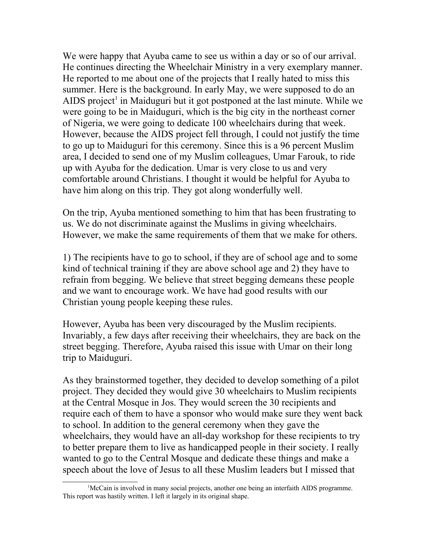We were happy that Ayuba came to see us within a day or so of our arrival. He continues directing the Wheelchair Ministry in a very exemplary manner. He reported to me about one of the projects that I really hated to miss this summer. Here is the background. In early May, we were supposed to do an AIDS project<sup>[1](#page-7-0)</sup> in Maiduguri but it got postponed at the last minute. While we were going to be in Maiduguri, which is the big city in the northeast corner of Nigeria, we were going to dedicate 100 wheelchairs during that week. However, because the AIDS project fell through, I could not justify the time to go up to Maiduguri for this ceremony. Since this is a 96 percent Muslim area, I decided to send one of my Muslim colleagues, Umar Farouk, to ride up with Ayuba for the dedication. Umar is very close to us and very comfortable around Christians. I thought it would be helpful for Ayuba to have him along on this trip. They got along wonderfully well.

On the trip, Ayuba mentioned something to him that has been frustrating to us. We do not discriminate against the Muslims in giving wheelchairs. However, we make the same requirements of them that we make for others.

1) The recipients have to go to school, if they are of school age and to some kind of technical training if they are above school age and 2) they have to refrain from begging. We believe that street begging demeans these people and we want to encourage work. We have had good results with our Christian young people keeping these rules.

However, Ayuba has been very discouraged by the Muslim recipients. Invariably, a few days after receiving their wheelchairs, they are back on the street begging. Therefore, Ayuba raised this issue with Umar on their long trip to Maiduguri.

As they brainstormed together, they decided to develop something of a pilot project. They decided they would give 30 wheelchairs to Muslim recipients at the Central Mosque in Jos. They would screen the 30 recipients and require each of them to have a sponsor who would make sure they went back to school. In addition to the general ceremony when they gave the wheelchairs, they would have an all-day workshop for these recipients to try to better prepare them to live as handicapped people in their society. I really wanted to go to the Central Mosque and dedicate these things and make a speech about the love of Jesus to all these Muslim leaders but I missed that

<span id="page-7-0"></span><sup>1</sup>McCain is involved in many social projects, another one being an interfaith AIDS programme. This report was hastily written. I left it largely in its original shape.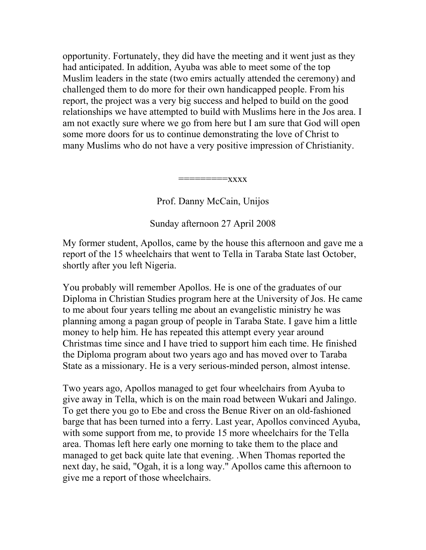opportunity. Fortunately, they did have the meeting and it went just as they had anticipated. In addition, Ayuba was able to meet some of the top Muslim leaders in the state (two emirs actually attended the ceremony) and challenged them to do more for their own handicapped people. From his report, the project was a very big success and helped to build on the good relationships we have attempted to build with Muslims here in the Jos area. I am not exactly sure where we go from here but I am sure that God will open some more doors for us to continue demonstrating the love of Christ to many Muslims who do not have a very positive impression of Christianity.

=========xxxx

Prof. Danny McCain, Unijos

Sunday afternoon 27 April 2008

My former student, Apollos, came by the house this afternoon and gave me a report of the 15 wheelchairs that went to Tella in Taraba State last October, shortly after you left Nigeria.

You probably will remember Apollos. He is one of the graduates of our Diploma in Christian Studies program here at the University of Jos. He came to me about four years telling me about an evangelistic ministry he was planning among a pagan group of people in Taraba State. I gave him a little money to help him. He has repeated this attempt every year around Christmas time since and I have tried to support him each time. He finished the Diploma program about two years ago and has moved over to Taraba State as a missionary. He is a very serious-minded person, almost intense.

Two years ago, Apollos managed to get four wheelchairs from Ayuba to give away in Tella, which is on the main road between Wukari and Jalingo. To get there you go to Ebe and cross the Benue River on an old-fashioned barge that has been turned into a ferry. Last year, Apollos convinced Ayuba, with some support from me, to provide 15 more wheelchairs for the Tella area. Thomas left here early one morning to take them to the place and managed to get back quite late that evening. .When Thomas reported the next day, he said, "Ogah, it is a long way." Apollos came this afternoon to give me a report of those wheelchairs.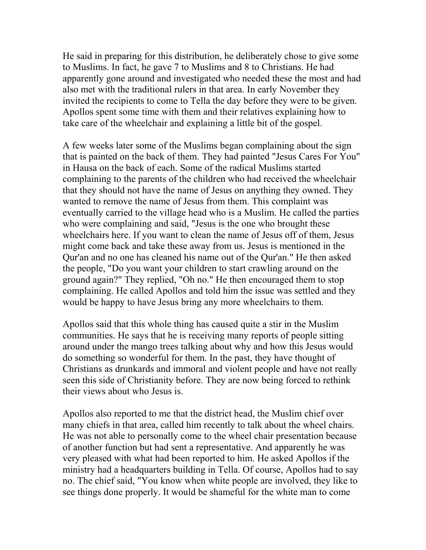He said in preparing for this distribution, he deliberately chose to give some to Muslims. In fact, he gave 7 to Muslims and 8 to Christians. He had apparently gone around and investigated who needed these the most and had also met with the traditional rulers in that area. In early November they invited the recipients to come to Tella the day before they were to be given. Apollos spent some time with them and their relatives explaining how to take care of the wheelchair and explaining a little bit of the gospel.

A few weeks later some of the Muslims began complaining about the sign that is painted on the back of them. They had painted "Jesus Cares For You" in Hausa on the back of each. Some of the radical Muslims started complaining to the parents of the children who had received the wheelchair that they should not have the name of Jesus on anything they owned. They wanted to remove the name of Jesus from them. This complaint was eventually carried to the village head who is a Muslim. He called the parties who were complaining and said, "Jesus is the one who brought these wheelchairs here. If you want to clean the name of Jesus off of them, Jesus might come back and take these away from us. Jesus is mentioned in the Qur'an and no one has cleaned his name out of the Qur'an." He then asked the people, "Do you want your children to start crawling around on the ground again?" They replied, "Oh no." He then encouraged them to stop complaining. He called Apollos and told him the issue was settled and they would be happy to have Jesus bring any more wheelchairs to them.

Apollos said that this whole thing has caused quite a stir in the Muslim communities. He says that he is receiving many reports of people sitting around under the mango trees talking about why and how this Jesus would do something so wonderful for them. In the past, they have thought of Christians as drunkards and immoral and violent people and have not really seen this side of Christianity before. They are now being forced to rethink their views about who Jesus is.

Apollos also reported to me that the district head, the Muslim chief over many chiefs in that area, called him recently to talk about the wheel chairs. He was not able to personally come to the wheel chair presentation because of another function but had sent a representative. And apparently he was very pleased with what had been reported to him. He asked Apollos if the ministry had a headquarters building in Tella. Of course, Apollos had to say no. The chief said, "You know when white people are involved, they like to see things done properly. It would be shameful for the white man to come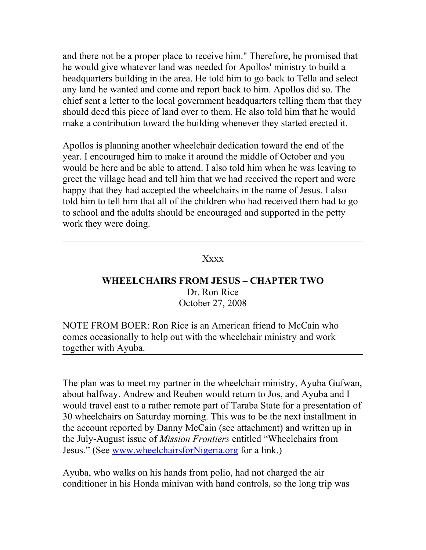and there not be a proper place to receive him." Therefore, he promised that he would give whatever land was needed for Apollos' ministry to build a headquarters building in the area. He told him to go back to Tella and select any land he wanted and come and report back to him. Apollos did so. The chief sent a letter to the local government headquarters telling them that they should deed this piece of land over to them. He also told him that he would make a contribution toward the building whenever they started erected it.

Apollos is planning another wheelchair dedication toward the end of the year. I encouraged him to make it around the middle of October and you would be here and be able to attend. I also told him when he was leaving to greet the village head and tell him that we had received the report and were happy that they had accepted the wheelchairs in the name of Jesus. I also told him to tell him that all of the children who had received them had to go to school and the adults should be encouraged and supported in the petty work they were doing.

## Xxxx

### **WHEELCHAIRS FROM JESUS – CHAPTER TWO** Dr. Ron Rice October 27, 2008

NOTE FROM BOER: Ron Rice is an American friend to McCain who comes occasionally to help out with the wheelchair ministry and work together with Ayuba.

The plan was to meet my partner in the wheelchair ministry, Ayuba Gufwan, about halfway. Andrew and Reuben would return to Jos, and Ayuba and I would travel east to a rather remote part of Taraba State for a presentation of 30 wheelchairs on Saturday morning. This was to be the next installment in the account reported by Danny McCain (see attachment) and written up in the July-August issue of *Mission Frontiers* entitled "Wheelchairs from Jesus." (See [www.wheelchairsforNigeria.org](http://www.wheelchairsfornigeria.org/) for a link.)

Ayuba, who walks on his hands from polio, had not charged the air conditioner in his Honda minivan with hand controls, so the long trip was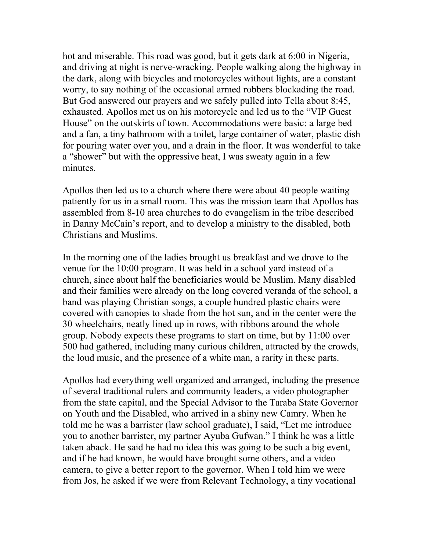hot and miserable. This road was good, but it gets dark at 6:00 in Nigeria, and driving at night is nerve-wracking. People walking along the highway in the dark, along with bicycles and motorcycles without lights, are a constant worry, to say nothing of the occasional armed robbers blockading the road. But God answered our prayers and we safely pulled into Tella about 8:45, exhausted. Apollos met us on his motorcycle and led us to the "VIP Guest House" on the outskirts of town. Accommodations were basic: a large bed and a fan, a tiny bathroom with a toilet, large container of water, plastic dish for pouring water over you, and a drain in the floor. It was wonderful to take a "shower" but with the oppressive heat, I was sweaty again in a few minutes.

Apollos then led us to a church where there were about 40 people waiting patiently for us in a small room. This was the mission team that Apollos has assembled from 8-10 area churches to do evangelism in the tribe described in Danny McCain's report, and to develop a ministry to the disabled, both Christians and Muslims.

In the morning one of the ladies brought us breakfast and we drove to the venue for the 10:00 program. It was held in a school yard instead of a church, since about half the beneficiaries would be Muslim. Many disabled and their families were already on the long covered veranda of the school, a band was playing Christian songs, a couple hundred plastic chairs were covered with canopies to shade from the hot sun, and in the center were the 30 wheelchairs, neatly lined up in rows, with ribbons around the whole group. Nobody expects these programs to start on time, but by 11:00 over 500 had gathered, including many curious children, attracted by the crowds, the loud music, and the presence of a white man, a rarity in these parts.

Apollos had everything well organized and arranged, including the presence of several traditional rulers and community leaders, a video photographer from the state capital, and the Special Advisor to the Taraba State Governor on Youth and the Disabled, who arrived in a shiny new Camry. When he told me he was a barrister (law school graduate), I said, "Let me introduce you to another barrister, my partner Ayuba Gufwan." I think he was a little taken aback. He said he had no idea this was going to be such a big event, and if he had known, he would have brought some others, and a video camera, to give a better report to the governor. When I told him we were from Jos, he asked if we were from Relevant Technology, a tiny vocational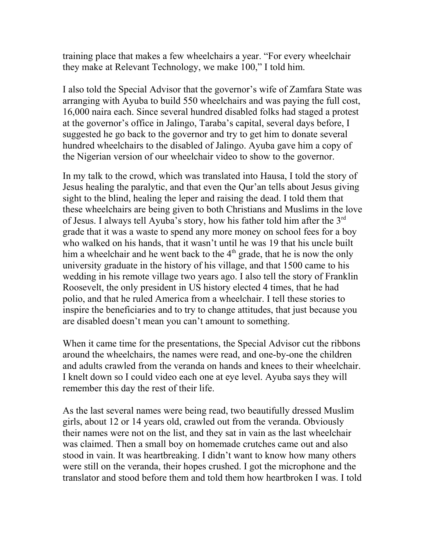training place that makes a few wheelchairs a year. "For every wheelchair they make at Relevant Technology, we make 100," I told him.

I also told the Special Advisor that the governor's wife of Zamfara State was arranging with Ayuba to build 550 wheelchairs and was paying the full cost, 16,000 naira each. Since several hundred disabled folks had staged a protest at the governor's office in Jalingo, Taraba's capital, several days before, I suggested he go back to the governor and try to get him to donate several hundred wheelchairs to the disabled of Jalingo. Ayuba gave him a copy of the Nigerian version of our wheelchair video to show to the governor.

In my talk to the crowd, which was translated into Hausa, I told the story of Jesus healing the paralytic, and that even the Qur'an tells about Jesus giving sight to the blind, healing the leper and raising the dead. I told them that these wheelchairs are being given to both Christians and Muslims in the love of Jesus. I always tell Ayuba's story, how his father told him after the 3<sup>rd</sup> grade that it was a waste to spend any more money on school fees for a boy who walked on his hands, that it wasn't until he was 19 that his uncle built him a wheelchair and he went back to the  $4<sup>th</sup>$  grade, that he is now the only university graduate in the history of his village, and that 1500 came to his wedding in his remote village two years ago. I also tell the story of Franklin Roosevelt, the only president in US history elected 4 times, that he had polio, and that he ruled America from a wheelchair. I tell these stories to inspire the beneficiaries and to try to change attitudes, that just because you are disabled doesn't mean you can't amount to something.

When it came time for the presentations, the Special Advisor cut the ribbons around the wheelchairs, the names were read, and one-by-one the children and adults crawled from the veranda on hands and knees to their wheelchair. I knelt down so I could video each one at eye level. Ayuba says they will remember this day the rest of their life.

As the last several names were being read, two beautifully dressed Muslim girls, about 12 or 14 years old, crawled out from the veranda. Obviously their names were not on the list, and they sat in vain as the last wheelchair was claimed. Then a small boy on homemade crutches came out and also stood in vain. It was heartbreaking. I didn't want to know how many others were still on the veranda, their hopes crushed. I got the microphone and the translator and stood before them and told them how heartbroken I was. I told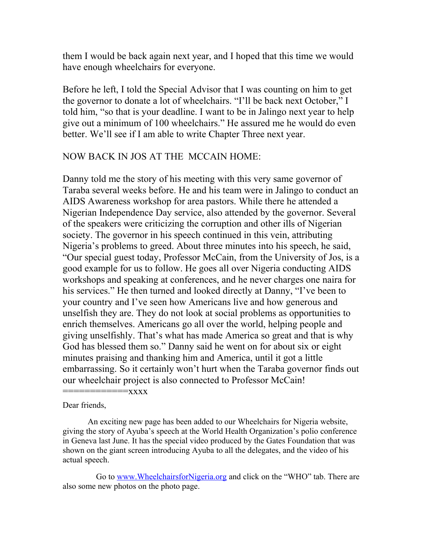them I would be back again next year, and I hoped that this time we would have enough wheelchairs for everyone.

Before he left, I told the Special Advisor that I was counting on him to get the governor to donate a lot of wheelchairs. "I'll be back next October," I told him, "so that is your deadline. I want to be in Jalingo next year to help give out a minimum of 100 wheelchairs." He assured me he would do even better. We'll see if I am able to write Chapter Three next year.

### NOW BACK IN JOS AT THE MCCAIN HOME:

Danny told me the story of his meeting with this very same governor of Taraba several weeks before. He and his team were in Jalingo to conduct an AIDS Awareness workshop for area pastors. While there he attended a Nigerian Independence Day service, also attended by the governor. Several of the speakers were criticizing the corruption and other ills of Nigerian society. The governor in his speech continued in this vein, attributing Nigeria's problems to greed. About three minutes into his speech, he said, "Our special guest today, Professor McCain, from the University of Jos, is a good example for us to follow. He goes all over Nigeria conducting AIDS workshops and speaking at conferences, and he never charges one naira for his services." He then turned and looked directly at Danny, "I've been to your country and I've seen how Americans live and how generous and unselfish they are. They do not look at social problems as opportunities to enrich themselves. Americans go all over the world, helping people and giving unselfishly. That's what has made America so great and that is why God has blessed them so." Danny said he went on for about six or eight minutes praising and thanking him and America, until it got a little embarrassing. So it certainly won't hurt when the Taraba governor finds out our wheelchair project is also connected to Professor McCain! ============xxxx

Dear friends,

An exciting new page has been added to our Wheelchairs for Nigeria website, giving the story of Ayuba's speech at the World Health Organization's polio conference in Geneva last June. It has the special video produced by the Gates Foundation that was shown on the giant screen introducing Ayuba to all the delegates, and the video of his actual speech.

Go to [www.WheelchairsforNigeria.org](http://www.WheelchairsforNigeria.org/) and click on the "WHO" tab. There are also some new photos on the photo page.